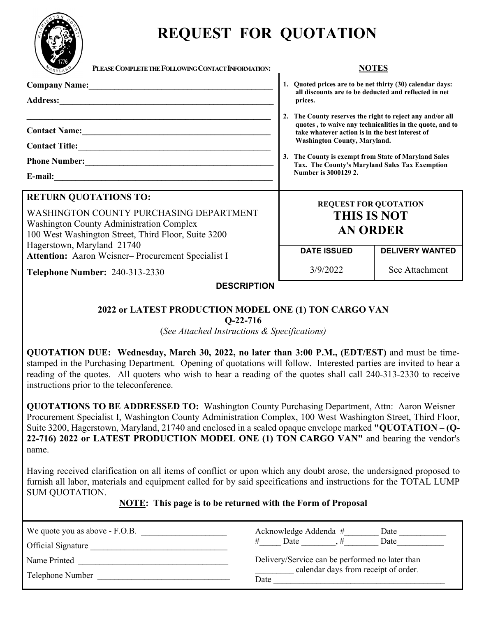

# **REQUEST FOR QUOTATION**

| PLEASE COMPLETE THE FOLLOWING CONTACT INFORMATION:                                                                                                                                                              | <b>NOTES</b>                                                                                                                                                                                                                                                                                                                                                                                                                                                               |                |
|-----------------------------------------------------------------------------------------------------------------------------------------------------------------------------------------------------------------|----------------------------------------------------------------------------------------------------------------------------------------------------------------------------------------------------------------------------------------------------------------------------------------------------------------------------------------------------------------------------------------------------------------------------------------------------------------------------|----------------|
| Company Name: 2008                                                                                                                                                                                              | 1. Quoted prices are to be net thirty (30) calendar days:<br>all discounts are to be deducted and reflected in net<br>prices.                                                                                                                                                                                                                                                                                                                                              |                |
| Contact Name: <u>Contact Name:</u><br>Phone Number:<br>E-mail:                                                                                                                                                  | 2. The County reserves the right to reject any and/or all<br>quotes, to waive any technicalities in the quote, and to<br>take whatever action is in the best interest of<br><b>Washington County, Maryland.</b><br>3. The County is exempt from State of Maryland Sales<br>Tax. The County's Maryland Sales Tax Exemption<br>Number is 3000129 2.<br><b>REQUEST FOR QUOTATION</b><br><b>THIS IS NOT</b><br><b>AN ORDER</b><br><b>DATE ISSUED</b><br><b>DELIVERY WANTED</b> |                |
| <b>RETURN QUOTATIONS TO:</b><br>WASHINGTON COUNTY PURCHASING DEPARTMENT<br><b>Washington County Administration Complex</b><br>100 West Washington Street, Third Floor, Suite 3200<br>Hagerstown, Maryland 21740 |                                                                                                                                                                                                                                                                                                                                                                                                                                                                            |                |
| Attention: Aaron Weisner-Procurement Specialist I<br><b>Telephone Number: 240-313-2330</b>                                                                                                                      | 3/9/2022                                                                                                                                                                                                                                                                                                                                                                                                                                                                   | See Attachment |
| <b>DESCRIPTION</b>                                                                                                                                                                                              |                                                                                                                                                                                                                                                                                                                                                                                                                                                                            |                |

## **2022 or LATEST PRODUCTION MODEL ONE (1) TON CARGO VAN**

**Q-22-716**

(*See Attached Instructions & Specifications)*

**QUOTATION DUE: Wednesday, March 30, 2022, no later than 3:00 P.M., (EDT/EST)** and must be timestamped in the Purchasing Department. Opening of quotations will follow. Interested parties are invited to hear a reading of the quotes. All quoters who wish to hear a reading of the quotes shall call 240-313-2330 to receive instructions prior to the teleconference.

**QUOTATIONS TO BE ADDRESSED TO:** Washington County Purchasing Department, Attn: Aaron Weisner– Procurement Specialist I, Washington County Administration Complex, 100 West Washington Street, Third Floor, Suite 3200, Hagerstown, Maryland, 21740 and enclosed in a sealed opaque envelope marked **"QUOTATION – (Q-22-716) 2022 or LATEST PRODUCTION MODEL ONE (1) TON CARGO VAN"** and bearing the vendor's name.

Having received clarification on all items of conflict or upon which any doubt arose, the undersigned proposed to furnish all labor, materials and equipment called for by said specifications and instructions for the TOTAL LUMP SUM QUOTATION.

## **NOTE: This page is to be returned with the Form of Proposal**

| We quote you as above - F.O.B.<br>Official Signature | Acknowledge Addenda #<br>Date<br>Date<br>Date   |  |  |
|------------------------------------------------------|-------------------------------------------------|--|--|
| Name Printed                                         | Delivery/Service can be performed no later than |  |  |
| Telephone Number                                     | calendar days from receipt of order.<br>Date    |  |  |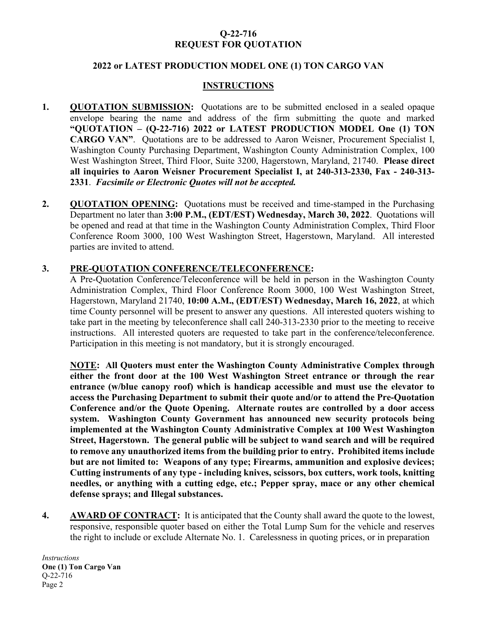## **Q-22-716 REQUEST FOR QUOTATION**

## **2022 or LATEST PRODUCTION MODEL ONE (1) TON CARGO VAN**

## **INSTRUCTIONS**

- **1. QUOTATION SUBMISSION:** Quotations are to be submitted enclosed in a sealed opaque envelope bearing the name and address of the firm submitting the quote and marked **"QUOTATION – (Q-22-716) 2022 or LATEST PRODUCTION MODEL One (1) TON CARGO VAN"**. Quotations are to be addressed to Aaron Weisner, Procurement Specialist I, Washington County Purchasing Department, Washington County Administration Complex, 100 West Washington Street, Third Floor, Suite 3200, Hagerstown, Maryland, 21740. **Please direct all inquiries to Aaron Weisner Procurement Specialist I, at 240-313-2330, Fax - 240-313- 2331**. *Facsimile or Electronic Quotes will not be accepted.*
- **2. QUOTATION OPENING:** Quotations must be received and time-stamped in the Purchasing Department no later than **3:00 P.M., (EDT/EST) Wednesday, March 30, 2022**. Quotations will be opened and read at that time in the Washington County Administration Complex, Third Floor Conference Room 3000, 100 West Washington Street, Hagerstown, Maryland. All interested parties are invited to attend.

## **3. PRE-QUOTATION CONFERENCE/TELECONFERENCE:**

A Pre-Quotation Conference/Teleconference will be held in person in the Washington County Administration Complex, Third Floor Conference Room 3000, 100 West Washington Street, Hagerstown, Maryland 21740, **10:00 A.M., (EDT/EST) Wednesday, March 16, 2022**, at which time County personnel will be present to answer any questions. All interested quoters wishing to take part in the meeting by teleconference shall call 240-313-2330 prior to the meeting to receive instructions. All interested quoters are requested to take part in the conference/teleconference. Participation in this meeting is not mandatory, but it is strongly encouraged.

**NOTE: All Quoters must enter the Washington County Administrative Complex through either the front door at the 100 West Washington Street entrance or through the rear entrance (w/blue canopy roof) which is handicap accessible and must use the elevator to access the Purchasing Department to submit their quote and/or to attend the Pre-Quotation Conference and/or the Quote Opening. Alternate routes are controlled by a door access system. Washington County Government has announced new security protocols being implemented at the Washington County Administrative Complex at 100 West Washington Street, Hagerstown. The general public will be subject to wand search and will be required to remove any unauthorized items from the building prior to entry. Prohibited items include but are not limited to: Weapons of any type; Firearms, ammunition and explosive devices; Cutting instruments of any type - including knives, scissors, box cutters, work tools, knitting needles, or anything with a cutting edge, etc.; Pepper spray, mace or any other chemical defense sprays; and Illegal substances.**

**4. AWARD OF CONTRACT:** It is anticipated that **t**he County shall award the quote to the lowest, responsive, responsible quoter based on either the Total Lump Sum for the vehicle and reserves the right to include or exclude Alternate No. 1. Carelessness in quoting prices, or in preparation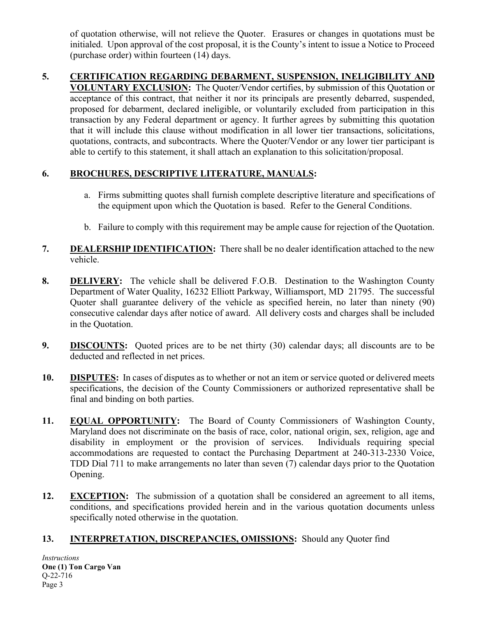of quotation otherwise, will not relieve the Quoter. Erasures or changes in quotations must be initialed. Upon approval of the cost proposal, it is the County's intent to issue a Notice to Proceed (purchase order) within fourteen (14) days.

**5. CERTIFICATION REGARDING DEBARMENT, SUSPENSION, INELIGIBILITY AND VOLUNTARY EXCLUSION:** The Quoter/Vendor certifies, by submission of this Quotation or acceptance of this contract, that neither it nor its principals are presently debarred, suspended, proposed for debarment, declared ineligible, or voluntarily excluded from participation in this transaction by any Federal department or agency. It further agrees by submitting this quotation that it will include this clause without modification in all lower tier transactions, solicitations, quotations, contracts, and subcontracts. Where the Quoter/Vendor or any lower tier participant is able to certify to this statement, it shall attach an explanation to this solicitation/proposal.

## **6. BROCHURES, DESCRIPTIVE LITERATURE, MANUALS:**

- a. Firms submitting quotes shall furnish complete descriptive literature and specifications of the equipment upon which the Quotation is based. Refer to the General Conditions.
- b. Failure to comply with this requirement may be ample cause for rejection of the Quotation.
- **7. DEALERSHIP IDENTIFICATION:** There shall be no dealer identification attached to the new vehicle.
- **8. DELIVERY:** The vehicle shall be delivered F.O.B. Destination to the Washington County Department of Water Quality, 16232 Elliott Parkway, Williamsport, MD 21795. The successful Quoter shall guarantee delivery of the vehicle as specified herein, no later than ninety (90) consecutive calendar days after notice of award. All delivery costs and charges shall be included in the Quotation.
- **9. DISCOUNTS:** Quoted prices are to be net thirty (30) calendar days; all discounts are to be deducted and reflected in net prices.
- **10. DISPUTES:** In cases of disputes as to whether or not an item or service quoted or delivered meets specifications, the decision of the County Commissioners or authorized representative shall be final and binding on both parties.
- **11. EQUAL OPPORTUNITY:** The Board of County Commissioners of Washington County, Maryland does not discriminate on the basis of race, color, national origin, sex, religion, age and disability in employment or the provision of services. Individuals requiring special accommodations are requested to contact the Purchasing Department at 240-313-2330 Voice, TDD Dial 711 to make arrangements no later than seven (7) calendar days prior to the Quotation Opening.
- **12. EXCEPTION:** The submission of a quotation shall be considered an agreement to all items, conditions, and specifications provided herein and in the various quotation documents unless specifically noted otherwise in the quotation.

## **13. INTERPRETATION, DISCREPANCIES, OMISSIONS:** Should any Quoter find

*Instructions* **One (1) Ton Cargo Van**  Q-22-716 Page 3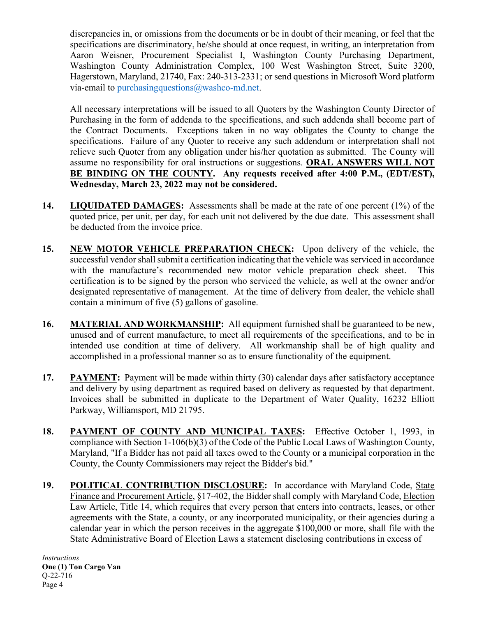discrepancies in, or omissions from the documents or be in doubt of their meaning, or feel that the specifications are discriminatory, he/she should at once request, in writing, an interpretation from Aaron Weisner, Procurement Specialist I, Washington County Purchasing Department, Washington County Administration Complex, 100 West Washington Street, Suite 3200, Hagerstown, Maryland, 21740, Fax: 240-313-2331; or send questions in Microsoft Word platform via-email to purchasingquestions $@$ washco-md.net.

All necessary interpretations will be issued to all Quoters by the Washington County Director of Purchasing in the form of addenda to the specifications, and such addenda shall become part of the Contract Documents. Exceptions taken in no way obligates the County to change the specifications. Failure of any Quoter to receive any such addendum or interpretation shall not relieve such Quoter from any obligation under his/her quotation as submitted. The County will assume no responsibility for oral instructions or suggestions. **ORAL ANSWERS WILL NOT BE BINDING ON THE COUNTY. Any requests received after 4:00 P.M., (EDT/EST), Wednesday, March 23, 2022 may not be considered.**

- **14. LIQUIDATED DAMAGES:** Assessments shall be made at the rate of one percent (1%) of the quoted price, per unit, per day, for each unit not delivered by the due date. This assessment shall be deducted from the invoice price.
- **15. NEW MOTOR VEHICLE PREPARATION CHECK:** Upon delivery of the vehicle, the successful vendor shall submit a certification indicating that the vehicle was serviced in accordance with the manufacture's recommended new motor vehicle preparation check sheet. This certification is to be signed by the person who serviced the vehicle, as well at the owner and/or designated representative of management. At the time of delivery from dealer, the vehicle shall contain a minimum of five (5) gallons of gasoline.
- **16. MATERIAL AND WORKMANSHIP:** All equipment furnished shall be guaranteed to be new, unused and of current manufacture, to meet all requirements of the specifications, and to be in intended use condition at time of delivery. All workmanship shall be of high quality and accomplished in a professional manner so as to ensure functionality of the equipment.
- **17. PAYMENT:** Payment will be made within thirty (30) calendar days after satisfactory acceptance and delivery by using department as required based on delivery as requested by that department. Invoices shall be submitted in duplicate to the Department of Water Quality, 16232 Elliott Parkway, Williamsport, MD 21795.
- 18. **PAYMENT OF COUNTY AND MUNICIPAL TAXES:** Effective October 1, 1993, in compliance with Section 1-106(b)(3) of the Code of the Public Local Laws of Washington County, Maryland, "If a Bidder has not paid all taxes owed to the County or a municipal corporation in the County, the County Commissioners may reject the Bidder's bid."
- **19. POLITICAL CONTRIBUTION DISCLOSURE:** In accordance with Maryland Code, State Finance and Procurement Article, §17-402, the Bidder shall comply with Maryland Code, Election Law Article, Title 14, which requires that every person that enters into contracts, leases, or other agreements with the State, a county, or any incorporated municipality, or their agencies during a calendar year in which the person receives in the aggregate \$100,000 or more, shall file with the State Administrative Board of Election Laws a statement disclosing contributions in excess of

*Instructions* **One (1) Ton Cargo Van**  Q-22-716 Page 4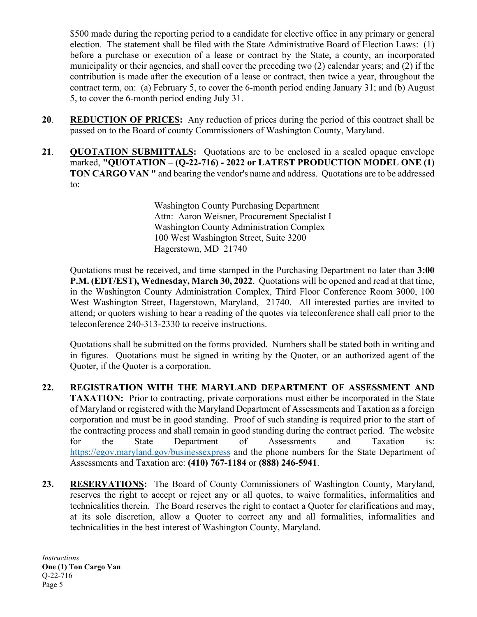\$500 made during the reporting period to a candidate for elective office in any primary or general election. The statement shall be filed with the State Administrative Board of Election Laws: (1) before a purchase or execution of a lease or contract by the State, a county, an incorporated municipality or their agencies, and shall cover the preceding two (2) calendar years; and (2) if the contribution is made after the execution of a lease or contract, then twice a year, throughout the contract term, on: (a) February 5, to cover the 6-month period ending January 31; and (b) August 5, to cover the 6-month period ending July 31.

- **20**. **REDUCTION OF PRICES:** Any reduction of prices during the period of this contract shall be passed on to the Board of county Commissioners of Washington County, Maryland.
- **21**. **QUOTATION SUBMITTALS:** Quotations are to be enclosed in a sealed opaque envelope marked, **"QUOTATION – (Q-22-716) - 2022 or LATEST PRODUCTION MODEL ONE (1) TON CARGO VAN "** and bearing the vendor's name and address. Quotations are to be addressed to:

Washington County Purchasing Department Attn: Aaron Weisner, Procurement Specialist I Washington County Administration Complex 100 West Washington Street, Suite 3200 Hagerstown, MD 21740

Quotations must be received, and time stamped in the Purchasing Department no later than **3:00 P.M. (EDT/EST), Wednesday, March 30, 2022**. Quotations will be opened and read at that time, in the Washington County Administration Complex, Third Floor Conference Room 3000, 100 West Washington Street, Hagerstown, Maryland, 21740. All interested parties are invited to attend; or quoters wishing to hear a reading of the quotes via teleconference shall call prior to the teleconference 240-313-2330 to receive instructions.

Quotations shall be submitted on the forms provided. Numbers shall be stated both in writing and in figures. Quotations must be signed in writing by the Quoter, or an authorized agent of the Quoter, if the Quoter is a corporation.

- **22. REGISTRATION WITH THE MARYLAND DEPARTMENT OF ASSESSMENT AND TAXATION:** Prior to contracting, private corporations must either be incorporated in the State of Maryland or registered with the Maryland Department of Assessments and Taxation as a foreign corporation and must be in good standing. Proof of such standing is required prior to the start of the contracting process and shall remain in good standing during the contract period. The website for the State Department of Assessments and Taxation is: <https://egov.maryland.gov/businessexpress> and the phone numbers for the State Department of Assessments and Taxation are: **(410) 767-1184** or **(888) 246-5941**.
- **23. RESERVATIONS:** The Board of County Commissioners of Washington County, Maryland, reserves the right to accept or reject any or all quotes, to waive formalities, informalities and technicalities therein. The Board reserves the right to contact a Quoter for clarifications and may, at its sole discretion, allow a Quoter to correct any and all formalities, informalities and technicalities in the best interest of Washington County, Maryland.

*Instructions* **One (1) Ton Cargo Van**  Q-22-716 Page 5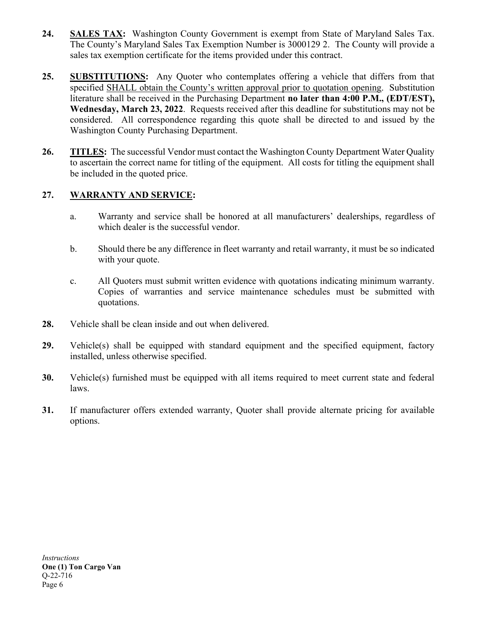- **24. SALES TAX:** Washington County Government is exempt from State of Maryland Sales Tax. The County's Maryland Sales Tax Exemption Number is 3000129 2. The County will provide a sales tax exemption certificate for the items provided under this contract.
- **25. SUBSTITUTIONS:** Any Quoter who contemplates offering a vehicle that differs from that specified SHALL obtain the County's written approval prior to quotation opening. Substitution literature shall be received in the Purchasing Department **no later than 4:00 P.M., (EDT/EST), Wednesday, March 23, 2022**. Requests received after this deadline for substitutions may not be considered. All correspondence regarding this quote shall be directed to and issued by the Washington County Purchasing Department.
- **26. TITLES:** The successful Vendor must contact the Washington County Department Water Quality to ascertain the correct name for titling of the equipment. All costs for titling the equipment shall be included in the quoted price.

## **27. WARRANTY AND SERVICE:**

- a. Warranty and service shall be honored at all manufacturers' dealerships, regardless of which dealer is the successful vendor.
- b. Should there be any difference in fleet warranty and retail warranty, it must be so indicated with your quote.
- c. All Quoters must submit written evidence with quotations indicating minimum warranty. Copies of warranties and service maintenance schedules must be submitted with quotations.
- **28.** Vehicle shall be clean inside and out when delivered.
- **29.** Vehicle(s) shall be equipped with standard equipment and the specified equipment, factory installed, unless otherwise specified.
- **30.** Vehicle(s) furnished must be equipped with all items required to meet current state and federal laws.
- **31.** If manufacturer offers extended warranty, Quoter shall provide alternate pricing for available options.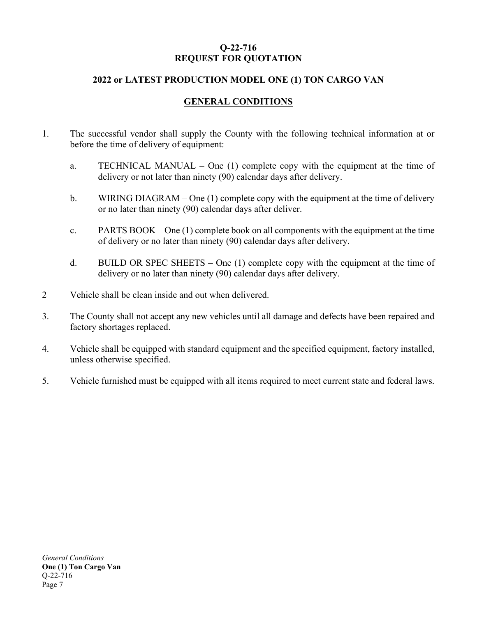## **Q-22-716 REQUEST FOR QUOTATION**

## **2022 or LATEST PRODUCTION MODEL ONE (1) TON CARGO VAN**

## **GENERAL CONDITIONS**

- 1. The successful vendor shall supply the County with the following technical information at or before the time of delivery of equipment:
	- a. TECHNICAL MANUAL One (1) complete copy with the equipment at the time of delivery or not later than ninety (90) calendar days after delivery.
	- b. WIRING DIAGRAM One (1) complete copy with the equipment at the time of delivery or no later than ninety (90) calendar days after deliver.
	- c. PARTS BOOK One (1) complete book on all components with the equipment at the time of delivery or no later than ninety (90) calendar days after delivery.
	- d. BUILD OR SPEC SHEETS One  $(1)$  complete copy with the equipment at the time of delivery or no later than ninety (90) calendar days after delivery.
- 2 Vehicle shall be clean inside and out when delivered.
- 3. The County shall not accept any new vehicles until all damage and defects have been repaired and factory shortages replaced.
- 4. Vehicle shall be equipped with standard equipment and the specified equipment, factory installed, unless otherwise specified.
- 5. Vehicle furnished must be equipped with all items required to meet current state and federal laws.

*General Conditions* **One (1) Ton Cargo Van**  Q-22-716 Page 7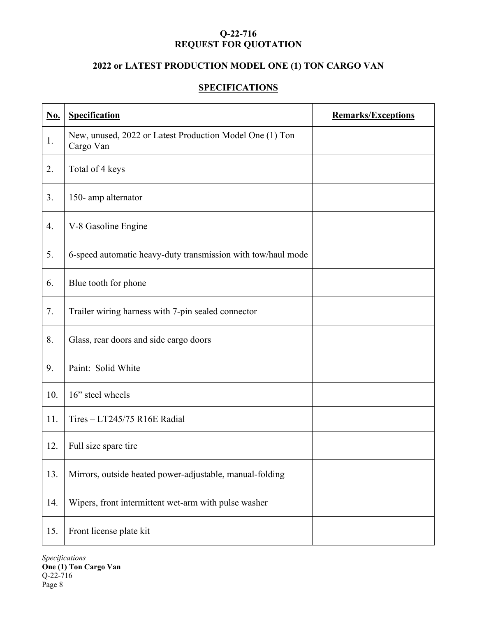## **Q-22-716 REQUEST FOR QUOTATION**

## **2022 or LATEST PRODUCTION MODEL ONE (1) TON CARGO VAN**

## **SPECIFICATIONS**

| <u>No.</u> | <b>Specification</b>                                                  | <b>Remarks/Exceptions</b> |
|------------|-----------------------------------------------------------------------|---------------------------|
| 1.         | New, unused, 2022 or Latest Production Model One (1) Ton<br>Cargo Van |                           |
| 2.         | Total of 4 keys                                                       |                           |
| 3.         | 150-amp alternator                                                    |                           |
| 4.         | V-8 Gasoline Engine                                                   |                           |
| 5.         | 6-speed automatic heavy-duty transmission with tow/haul mode          |                           |
| 6.         | Blue tooth for phone                                                  |                           |
| 7.         | Trailer wiring harness with 7-pin sealed connector                    |                           |
| 8.         | Glass, rear doors and side cargo doors                                |                           |
| 9.         | Paint: Solid White                                                    |                           |
| 10.        | 16" steel wheels                                                      |                           |
| 11.        | Tires - LT245/75 R16E Radial                                          |                           |
| 12.        | Full size spare tire                                                  |                           |
| 13.        | Mirrors, outside heated power-adjustable, manual-folding              |                           |
| 14.        | Wipers, front intermittent wet-arm with pulse washer                  |                           |
| 15.        | Front license plate kit                                               |                           |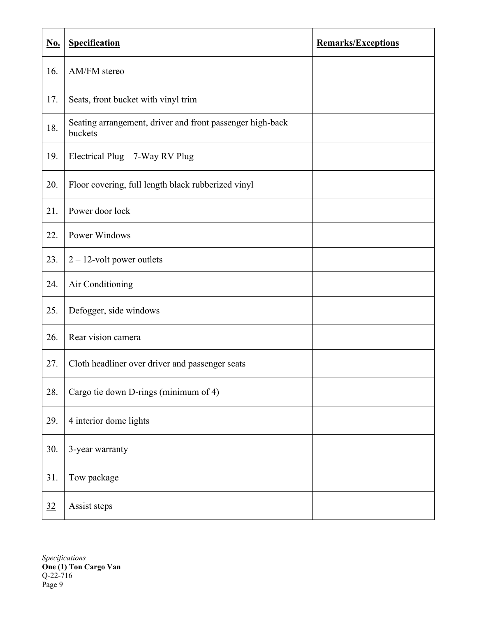| <u>No.</u> | <b>Specification</b>                                                 | <b>Remarks/Exceptions</b> |
|------------|----------------------------------------------------------------------|---------------------------|
| 16.        | AM/FM stereo                                                         |                           |
| 17.        | Seats, front bucket with vinyl trim                                  |                           |
| 18.        | Seating arrangement, driver and front passenger high-back<br>buckets |                           |
| 19.        | Electrical Plug $-7$ -Way RV Plug                                    |                           |
| 20.        | Floor covering, full length black rubberized vinyl                   |                           |
| 21.        | Power door lock                                                      |                           |
| 22.        | <b>Power Windows</b>                                                 |                           |
| 23.        | $2 - 12$ -volt power outlets                                         |                           |
| 24.        | Air Conditioning                                                     |                           |
| 25.        | Defogger, side windows                                               |                           |
| 26.        | Rear vision camera                                                   |                           |
| 27.        | Cloth headliner over driver and passenger seats                      |                           |
| 28.        | Cargo tie down D-rings (minimum of 4)                                |                           |
| 29.        | 4 interior dome lights                                               |                           |
| 30.        | 3-year warranty                                                      |                           |
| 31.        | Tow package                                                          |                           |
| 32         | Assist steps                                                         |                           |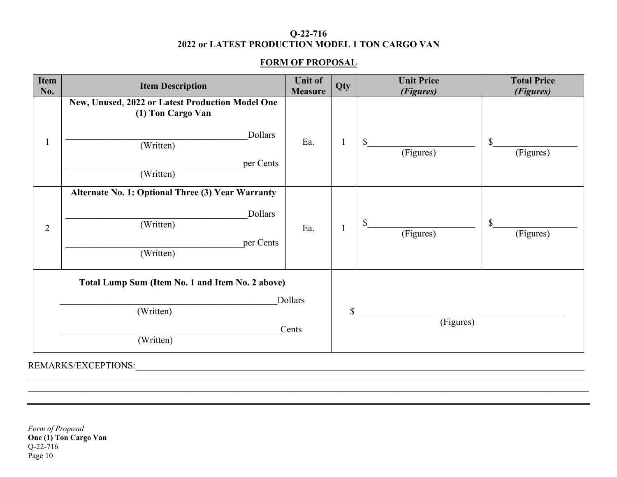## **Q-22-716 2022 or LATEST PRODUCTION MODEL 1 TON CARGO VAN**

## **FORM OF PROPOSAL**

| <b>Item</b><br>No. | <b>Item Description</b>                                                                                                 | <b>Unit of</b><br><b>Measure</b> | Qty          | <b>Unit Price</b><br>(Figures) | <b>Total Price</b><br>(Figures)        |
|--------------------|-------------------------------------------------------------------------------------------------------------------------|----------------------------------|--------------|--------------------------------|----------------------------------------|
|                    | New, Unused, 2022 or Latest Production Model One<br>(1) Ton Cargo Van<br>Dollars<br>(Written)<br>per Cents<br>(Written) | Ea.                              |              | $\mathbb{S}$<br>(Figures)      | $\boldsymbol{\mathsf{S}}$<br>(Figures) |
| $\overline{2}$     | Alternate No. 1: Optional Three (3) Year Warranty<br>Dollars<br>(Written)<br>per Cents<br>(Written)                     | Ea.                              | $\mathbf{1}$ | $\mathbb{S}$<br>(Figures)      | $\boldsymbol{\mathsf{S}}$<br>(Figures) |
|                    | Total Lump Sum (Item No. 1 and Item No. 2 above)<br>(Written)<br>(Written)                                              | Dollars<br>Cents                 | \$           | (Figures)                      |                                        |

 $\_$  , and the set of the set of the set of the set of the set of the set of the set of the set of the set of the set of the set of the set of the set of the set of the set of the set of the set of the set of the set of th

REMARKS/EXCEPTIONS: We are also assumed to the contract of the contract of the contract of the contract of the contract of the contract of the contract of the contract of the contract of the contract of the contract of the

*Form of Proposal* **One (1) Ton Cargo Van** Q-22-716 Page 10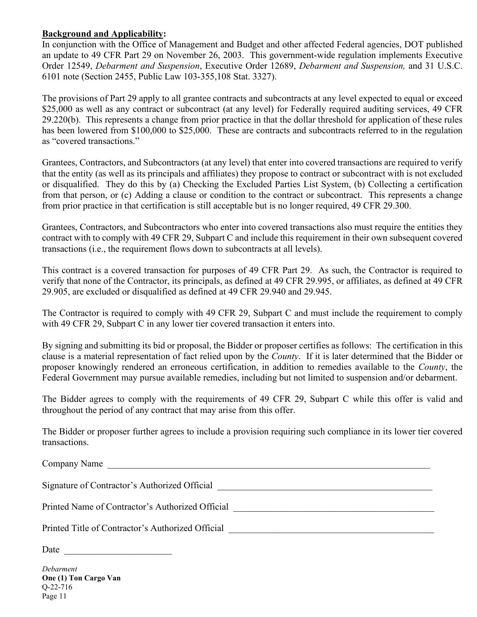## **Background and Applicability:**

In conjunction with the Office of Management and Budget and other affected Federal agencies, DOT published an update to 49 CFR Part 29 on November 26, 2003. This government-wide regulation implements Executive Order 12549, *Debarment and Suspension*, Executive Order 12689, *Debarment and Suspension,* and 31 U.S.C. 6101 note (Section 2455, Public Law 103-355,108 Stat. 3327).

The provisions of Part 29 apply to all grantee contracts and subcontracts at any level expected to equal or exceed \$25,000 as well as any contract or subcontract (at any level) for Federally required auditing services, 49 CFR 29.220(b). This represents a change from prior practice in that the dollar threshold for application of these rules has been lowered from \$100,000 to \$25,000. These are contracts and subcontracts referred to in the regulation as "covered transactions."

Grantees, Contractors, and Subcontractors (at any level) that enter into covered transactions are required to verify that the entity (as well as its principals and affiliates) they propose to contract or subcontract with is not excluded or disqualified. They do this by (a) Checking the Excluded Parties List System, (b) Collecting a certification from that person, or (c) Adding a clause or condition to the contract or subcontract. This represents a change from prior practice in that certification is still acceptable but is no longer required, 49 CFR 29.300.

Grantees, Contractors, and Subcontractors who enter into covered transactions also must require the entities they contract with to comply with 49 CFR 29, Subpart C and include this requirement in their own subsequent covered transactions (i.e., the requirement flows down to subcontracts at all levels).

This contract is a covered transaction for purposes of 49 CFR Part 29. As such, the Contractor is required to verify that none of the Contractor, its principals, as defined at 49 CFR 29.995, or affiliates, as defined at 49 CFR 29.905, are excluded or disqualified as defined at 49 CFR 29.940 and 29.945.

The Contractor is required to comply with 49 CFR 29, Subpart C and must include the requirement to comply with 49 CFR 29, Subpart C in any lower tier covered transaction it enters into.

By signing and submitting its bid or proposal, the Bidder or proposer certifies as follows: The certification in this clause is a material representation of fact relied upon by the *County*. If it is later determined that the Bidder or proposer knowingly rendered an erroneous certification, in addition to remedies available to the *County*, the Federal Government may pursue available remedies, including but not limited to suspension and/or debarment.

The Bidder agrees to comply with the requirements of 49 CFR 29, Subpart C while this offer is valid and throughout the period of any contract that may arise from this offer.

The Bidder or proposer further agrees to include a provision requiring such compliance in its lower tier covered transactions.

| Company Name                                                                      |
|-----------------------------------------------------------------------------------|
| Signature of Contractor's Authorized Official ___________________________________ |
| Printed Name of Contractor's Authorized Official                                  |
| Printed Title of Contractor's Authorized Official                                 |
| Date                                                                              |

*Debarment*  **One (1) Ton Cargo Van** Q-22-716 Page 11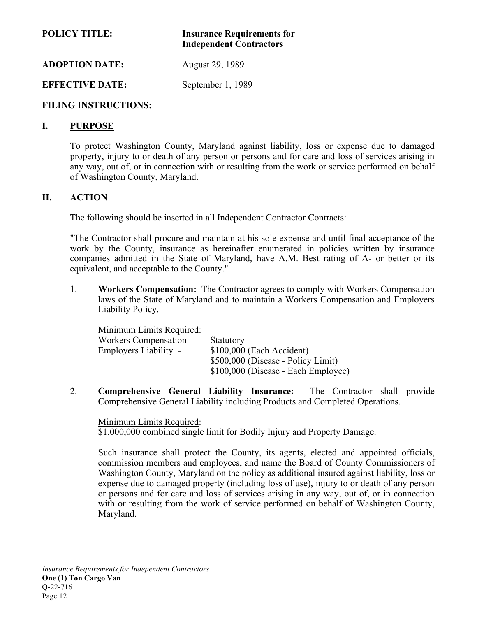## **POLICY TITLE: Insurance Requirements for Independent Contractors**

**ADOPTION DATE:** August 29, 1989

## **EFFECTIVE DATE:** September 1, 1989

## **FILING INSTRUCTIONS:**

### **I. PURPOSE**

To protect Washington County, Maryland against liability, loss or expense due to damaged property, injury to or death of any person or persons and for care and loss of services arising in any way, out of, or in connection with or resulting from the work or service performed on behalf of Washington County, Maryland.

## **II. ACTION**

The following should be inserted in all Independent Contractor Contracts:

"The Contractor shall procure and maintain at his sole expense and until final acceptance of the work by the County, insurance as hereinafter enumerated in policies written by insurance companies admitted in the State of Maryland, have A.M. Best rating of A- or better or its equivalent, and acceptable to the County."

1. **Workers Compensation:** The Contractor agrees to comply with Workers Compensation laws of the State of Maryland and to maintain a Workers Compensation and Employers Liability Policy.

| Minimum Limits Required: |                                     |
|--------------------------|-------------------------------------|
| Workers Compensation -   | Statutory                           |
| Employers Liability -    | \$100,000 (Each Accident)           |
|                          | \$500,000 (Disease - Policy Limit)  |
|                          | \$100,000 (Disease - Each Employee) |

2. **Comprehensive General Liability Insurance:** The Contractor shall provide Comprehensive General Liability including Products and Completed Operations.

#### Minimum Limits Required:

\$1,000,000 combined single limit for Bodily Injury and Property Damage.

Such insurance shall protect the County, its agents, elected and appointed officials, commission members and employees, and name the Board of County Commissioners of Washington County, Maryland on the policy as additional insured against liability, loss or expense due to damaged property (including loss of use), injury to or death of any person or persons and for care and loss of services arising in any way, out of, or in connection with or resulting from the work of service performed on behalf of Washington County, Maryland.